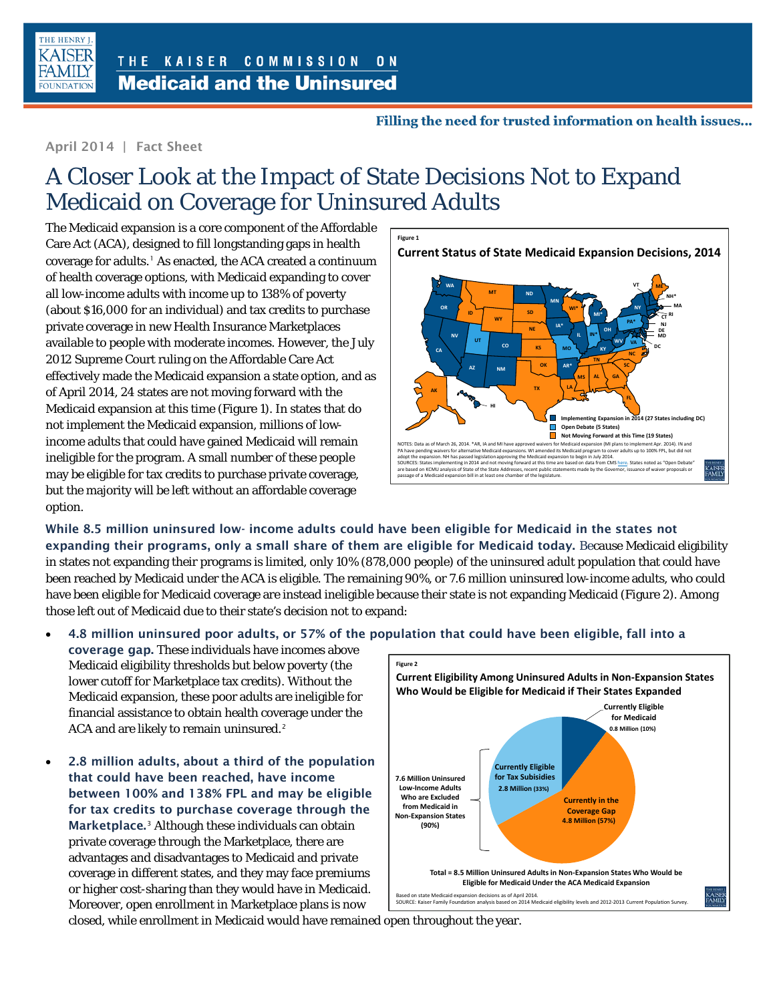

## Filling the need for trusted information on health issues...

## April 2014 | Fact Sheet

## A Closer Look at the Impact of State Decisions Not to Expand Medicaid on Coverage for Uninsured Adults

The Medicaid expansion is a core component of the Affordable Care Act (ACA), designed to fill longstanding gaps in health coverage for adults.<sup>[1](#page-1-0)</sup> As enacted, the ACA created a continuum of health coverage options, with Medicaid expanding to cover all low-income adults with income up to 138% of poverty (about \$16,000 for an individual) and tax credits to purchase private coverage in new Health Insurance Marketplaces available to people with moderate incomes. However, the July 2012 Supreme Court ruling on the Affordable Care Act effectively made the Medicaid expansion a state option, and as of April 2014, 24 states are not moving forward with the Medicaid expansion at this time (Figure 1). In states that do not implement the Medicaid expansion, millions of lowincome adults that could have gained Medicaid will remain ineligible for the program. A small number of these people may be eligible for tax credits to purchase private coverage, but the majority will be left without an affordable coverage option.



While 8.5 million uninsured low- income adults could have been eligible for Medicaid in the states not expanding their programs, only a small share of them are eligible for Medicaid today. Because Medicaid eligibility in states not expanding their programs is limited, only 10% (878,000 people) of the uninsured adult population that could have been reached by Medicaid under the ACA is eligible. The remaining 90%, or 7.6 million uninsured low-income adults, who could have been eligible for Medicaid coverage are instead ineligible because their state is not expanding Medicaid (Figure 2). Among those left out of Medicaid due to their state's decision not to expand:

## • 4.8 million uninsured poor adults, or 57% of the population that could have been eligible, fall into a

coverage gap. These individuals have incomes above Medicaid eligibility thresholds but below poverty (the lower cutoff for Marketplace tax credits). Without the Medicaid expansion, these poor adults are ineligible for financial assistance to obtain health coverage under the ACA and are likely to remain uninsured.<sup>[2](#page-1-1)</sup>

• 2.8 million adults, about a third of the population that could have been reached, have income between 100% and 138% FPL and may be eligible for tax credits to purchase coverage through the Marketplace.<sup>[3](#page-1-2)</sup> Although these individuals can obtain private coverage through the Marketplace, there are advantages and disadvantages to Medicaid and private coverage in different states, and they may face premiums or higher cost-sharing than they would have in Medicaid. Moreover, open enrollment in Marketplace plans is now



closed, while enrollment in Medicaid would have remained open throughout the year.